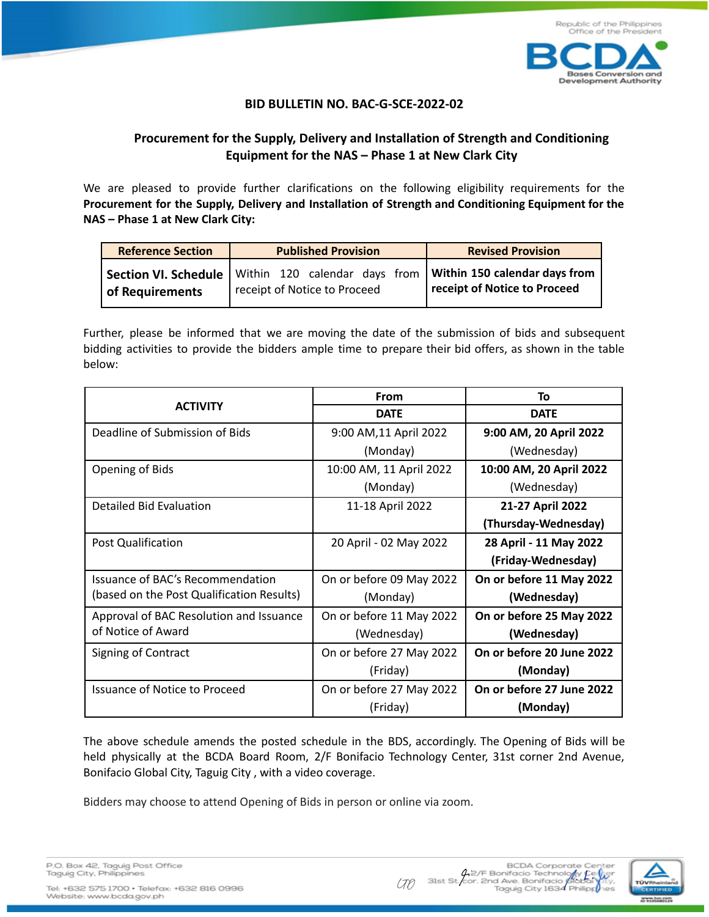

## **BID BULLETIN NO. BAC-G-SCE-2022-02**

## **Procurement for the Supply, Delivery and Installation of Strength and Conditioning Equipment for the NAS – Phase 1 at New Clark City**

We are pleased to provide further clarifications on the following eligibility requirements for the **Procurement for the Supply, Delivery and Installation of Strength and Conditioning Equipment for the NAS – Phase 1 at New Clark City:**

| <b>Reference Section</b> | <b>Published Provision</b> |  |                              |  |  | <b>Revised Provision</b>                                                                                             |  |  |
|--------------------------|----------------------------|--|------------------------------|--|--|----------------------------------------------------------------------------------------------------------------------|--|--|
| of Requirements          |                            |  | receipt of Notice to Proceed |  |  | Section VI. Schedule   Within 120 calendar days from   Within 150 calendar days from<br>receipt of Notice to Proceed |  |  |

Further, please be informed that we are moving the date of the submission of bids and subsequent bidding activities to provide the bidders ample time to prepare their bid offers, as shown in the table below:

|                                           | <b>From</b>              | Τo                        |  |
|-------------------------------------------|--------------------------|---------------------------|--|
| <b>ACTIVITY</b>                           | <b>DATE</b>              | <b>DATE</b>               |  |
| Deadline of Submission of Bids            | 9:00 AM, 11 April 2022   | 9:00 AM, 20 April 2022    |  |
|                                           | (Monday)                 | (Wednesday)               |  |
| Opening of Bids                           | 10:00 AM, 11 April 2022  | 10:00 AM, 20 April 2022   |  |
|                                           | (Monday)                 | (Wednesday)               |  |
| Detailed Bid Evaluation                   | 11-18 April 2022         | 21-27 April 2022          |  |
|                                           |                          | (Thursday-Wednesday)      |  |
| Post Qualification                        | 20 April - 02 May 2022   | 28 April - 11 May 2022    |  |
|                                           |                          | (Friday-Wednesday)        |  |
| Issuance of BAC's Recommendation          | On or before 09 May 2022 | On or before 11 May 2022  |  |
| (based on the Post Qualification Results) | (Monday)                 | (Wednesday)               |  |
| Approval of BAC Resolution and Issuance   | On or before 11 May 2022 | On or before 25 May 2022  |  |
| of Notice of Award                        | (Wednesday)              | (Wednesday)               |  |
| Signing of Contract                       | On or before 27 May 2022 | On or before 20 June 2022 |  |
|                                           | (Friday)                 | (Monday)                  |  |
| <b>Issuance of Notice to Proceed</b>      | On or before 27 May 2022 | On or before 27 June 2022 |  |
|                                           | (Friday)                 | (Monday)                  |  |

The above schedule amends the posted schedule in the BDS, accordingly. The Opening of Bids will be held physically at the BCDA Board Room, 2/F Bonifacio Technology Center, 31st corner 2nd Avenue, Bonifacio Global City, Taguig City , with a video coverage.

Bidders may choose to attend Opening of Bids in person or online via zoom.

|  |                          | P.O. Box 42, Taguig Post Office |  |
|--|--------------------------|---------------------------------|--|
|  | Taguig City, Philippines |                                 |  |
|  |                          |                                 |  |